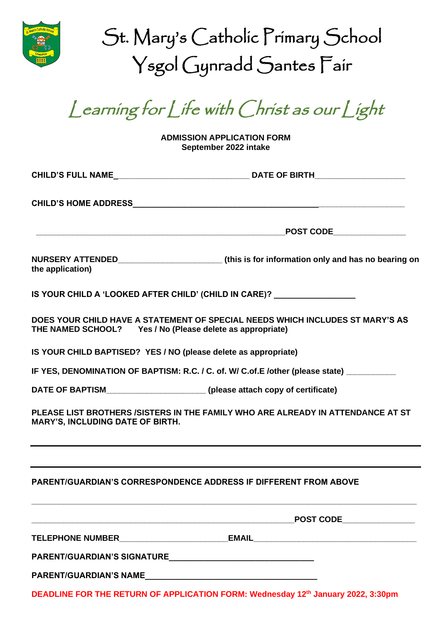

| St. Mary's Catholic Primary School |
|------------------------------------|
| Ysgol Gynradd Santes Fair          |

Learning for Life with Christ as our Light

**ADMISSION APPLICATION FORM September 2022 intake**

| the application)                                                          |                                                                                          |
|---------------------------------------------------------------------------|------------------------------------------------------------------------------------------|
|                                                                           | IS YOUR CHILD A 'LOOKED AFTER CHILD' (CHILD IN CARE)?                                    |
| THE NAMED SCHOOL? Yes / No (Please delete as appropriate)                 | DOES YOUR CHILD HAVE A STATEMENT OF SPECIAL NEEDS WHICH INCLUDES ST MARY'S AS            |
| IS YOUR CHILD BAPTISED? YES / NO (please delete as appropriate)           |                                                                                          |
|                                                                           | IF YES, DENOMINATION OF BAPTISM: R.C. / C. of. W/ C.of.E /other (please state) _________ |
| DATE OF BAPTISM_______________________(please attach copy of certificate) |                                                                                          |
| <b>MARY'S, INCLUDING DATE OF BIRTH.</b>                                   | PLEASE LIST BROTHERS /SISTERS IN THE FAMILY WHO ARE ALREADY IN ATTENDANCE AT ST          |
|                                                                           |                                                                                          |
|                                                                           | <b>PARENT/GUARDIAN'S CORRESPONDENCE ADDRESS IF DIFFERENT FROM ABOVE</b>                  |
|                                                                           | $\tt_{\tt{POST CODE}}$                                                                   |
|                                                                           | TELEPHONE NUMBER____________________________EMAIL_______________________________         |
|                                                                           |                                                                                          |
|                                                                           |                                                                                          |

**DEADLINE FOR THE RETURN OF APPLICATION FORM: Wednesday 12 th January 2022, 3:30pm**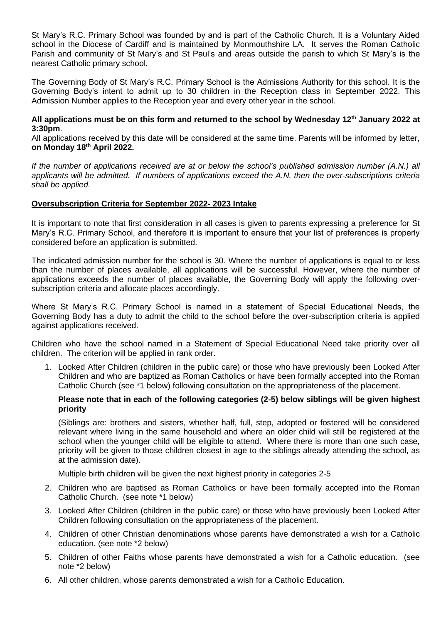St Mary's R.C. Primary School was founded by and is part of the Catholic Church. It is a Voluntary Aided school in the Diocese of Cardiff and is maintained by Monmouthshire LA. It serves the Roman Catholic Parish and community of St Mary's and St Paul's and areas outside the parish to which St Mary's is the nearest Catholic primary school.

The Governing Body of St Mary's R.C. Primary School is the Admissions Authority for this school. It is the Governing Body's intent to admit up to 30 children in the Reception class in September 2022. This Admission Number applies to the Reception year and every other year in the school.

#### **All applications must be on this form and returned to the school by Wednesday 12 th January 2022 at 3:30pm**.

All applications received by this date will be considered at the same time. Parents will be informed by letter, **on Monday 18th April 2022.**

*If the number of applications received are at or below the school's published admission number (A.N.) all applicants will be admitted. If numbers of applications exceed the A.N. then the over-subscriptions criteria shall be applied.* 

# **Oversubscription Criteria for September 2022- 2023 Intake**

It is important to note that first consideration in all cases is given to parents expressing a preference for St Mary's R.C. Primary School, and therefore it is important to ensure that your list of preferences is properly considered before an application is submitted.

The indicated admission number for the school is 30. Where the number of applications is equal to or less than the number of places available, all applications will be successful. However, where the number of applications exceeds the number of places available, the Governing Body will apply the following oversubscription criteria and allocate places accordingly.

Where St Mary's R.C. Primary School is named in a statement of Special Educational Needs, the Governing Body has a duty to admit the child to the school before the over-subscription criteria is applied against applications received.

Children who have the school named in a Statement of Special Educational Need take priority over all children. The criterion will be applied in rank order.

1. Looked After Children (children in the public care) or those who have previously been Looked After Children and who are baptized as Roman Catholics or have been formally accepted into the Roman Catholic Church (see \*1 below) following consultation on the appropriateness of the placement.

# **Please note that in each of the following categories (2-5) below siblings will be given highest priority**

(Siblings are: brothers and sisters, whether half, full, step, adopted or fostered will be considered relevant where living in the same household and where an older child will still be registered at the school when the younger child will be eligible to attend. Where there is more than one such case, priority will be given to those children closest in age to the siblings already attending the school, as at the admission date).

Multiple birth children will be given the next highest priority in categories 2-5

- 2. Children who are baptised as Roman Catholics or have been formally accepted into the Roman Catholic Church. (see note \*1 below)
- 3. Looked After Children (children in the public care) or those who have previously been Looked After Children following consultation on the appropriateness of the placement.
- 4. Children of other Christian denominations whose parents have demonstrated a wish for a Catholic education. (see note \*2 below)
- 5. Children of other Faiths whose parents have demonstrated a wish for a Catholic education. (see note \*2 below)
- 6. All other children, whose parents demonstrated a wish for a Catholic Education.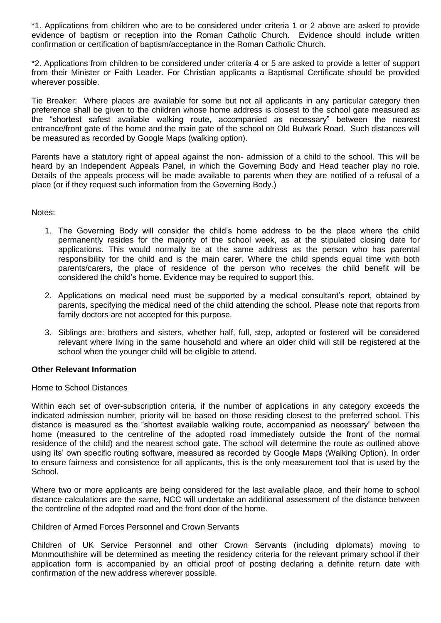\*1. Applications from children who are to be considered under criteria 1 or 2 above are asked to provide evidence of baptism or reception into the Roman Catholic Church. Evidence should include written confirmation or certification of baptism/acceptance in the Roman Catholic Church.

\*2. Applications from children to be considered under criteria 4 or 5 are asked to provide a letter of support from their Minister or Faith Leader. For Christian applicants a Baptismal Certificate should be provided wherever possible.

Tie Breaker: Where places are available for some but not all applicants in any particular category then preference shall be given to the children whose home address is closest to the school gate measured as the "shortest safest available walking route, accompanied as necessary" between the nearest entrance/front gate of the home and the main gate of the school on Old Bulwark Road. Such distances will be measured as recorded by Google Maps (walking option).

Parents have a statutory right of appeal against the non- admission of a child to the school. This will be heard by an Independent Appeals Panel, in which the Governing Body and Head teacher play no role. Details of the appeals process will be made available to parents when they are notified of a refusal of a place (or if they request such information from the Governing Body.)

Notes:

- 1. The Governing Body will consider the child's home address to be the place where the child permanently resides for the majority of the school week, as at the stipulated closing date for applications. This would normally be at the same address as the person who has parental responsibility for the child and is the main carer. Where the child spends equal time with both parents/carers, the place of residence of the person who receives the child benefit will be considered the child's home. Evidence may be required to support this.
- 2. Applications on medical need must be supported by a medical consultant's report, obtained by parents, specifying the medical need of the child attending the school. Please note that reports from family doctors are not accepted for this purpose.
- 3. Siblings are: brothers and sisters, whether half, full, step, adopted or fostered will be considered relevant where living in the same household and where an older child will still be registered at the school when the younger child will be eligible to attend.

# **Other Relevant Information**

Home to School Distances

Within each set of over-subscription criteria, if the number of applications in any category exceeds the indicated admission number, priority will be based on those residing closest to the preferred school. This distance is measured as the "shortest available walking route, accompanied as necessary" between the home (measured to the centreline of the adopted road immediately outside the front of the normal residence of the child) and the nearest school gate. The school will determine the route as outlined above using its' own specific routing software, measured as recorded by Google Maps (Walking Option). In order to ensure fairness and consistence for all applicants, this is the only measurement tool that is used by the School.

Where two or more applicants are being considered for the last available place, and their home to school distance calculations are the same, NCC will undertake an additional assessment of the distance between the centreline of the adopted road and the front door of the home.

# Children of Armed Forces Personnel and Crown Servants

Children of UK Service Personnel and other Crown Servants (including diplomats) moving to Monmouthshire will be determined as meeting the residency criteria for the relevant primary school if their application form is accompanied by an official proof of posting declaring a definite return date with confirmation of the new address wherever possible.